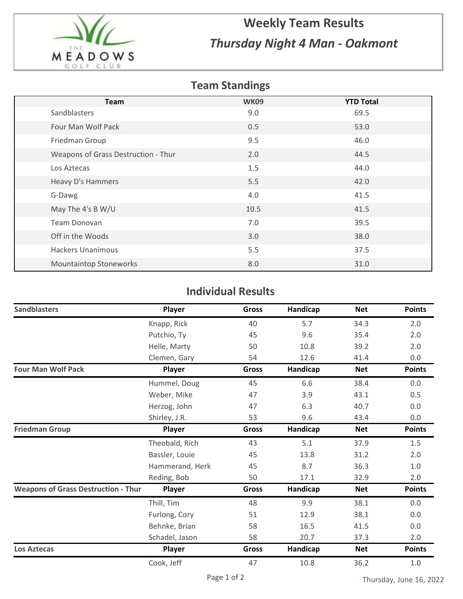

## **Weekly Team Results** *Thursday Night 4 Man - Oakmont*

## **Team Standings**

| <b>Team</b>                         | <b>WK09</b> | <b>YTD Total</b> |
|-------------------------------------|-------------|------------------|
| Sandblasters                        | 9.0         | 69.5             |
| Four Man Wolf Pack                  | 0.5         | 53.0             |
| Friedman Group                      | 9.5         | 46.0             |
| Weapons of Grass Destruction - Thur | 2.0         | 44.5             |
| Los Aztecas                         | 1.5         | 44.0             |
| Heavy D's Hammers                   | 5.5         | 42.0             |
| G-Dawg                              | 4.0         | 41.5             |
| May The 4's B W/U                   | 10.5        | 41.5             |
| Team Donovan                        | 7.0         | 39.5             |
| Off in the Woods                    | 3.0         | 38.0             |
| <b>Hackers Unanimous</b>            | 5.5         | 37.5             |
| <b>Mountaintop Stoneworks</b>       | 8.0         | 31.0             |

## **Individual Results**

| <b>Sandblasters</b>                        | Player          | <b>Gross</b> | Handicap | <b>Net</b> | <b>Points</b> |
|--------------------------------------------|-----------------|--------------|----------|------------|---------------|
|                                            | Knapp, Rick     | 40           | 5.7      | 34.3       | 2.0           |
|                                            | Putchio, Ty     | 45           | 9.6      | 35.4       | 2.0           |
|                                            | Helle, Marty    | 50           | 10.8     | 39.2       | 2.0           |
|                                            | Clemen, Gary    | 54           | 12.6     | 41.4       | 0.0           |
| <b>Four Man Wolf Pack</b>                  | Player          | <b>Gross</b> | Handicap | <b>Net</b> | <b>Points</b> |
|                                            | Hummel, Doug    | 45           | 6.6      | 38.4       | 0.0           |
|                                            | Weber, Mike     | 47           | 3.9      | 43.1       | 0.5           |
|                                            | Herzog, John    | 47           | 6.3      | 40.7       | 0.0           |
|                                            | Shirley, J.R.   | 53           | 9.6      | 43.4       | 0.0           |
| <b>Friedman Group</b>                      | Player          | <b>Gross</b> | Handicap | <b>Net</b> | <b>Points</b> |
|                                            | Theobald, Rich  | 43           | 5.1      | 37.9       | 1.5           |
|                                            | Bassler, Louie  | 45           | 13.8     | 31.2       | 2.0           |
|                                            | Hammerand, Herk | 45           | 8.7      | 36.3       | 1.0           |
|                                            | Reding, Bob     | 50           | 17.1     | 32.9       | 2.0           |
| <b>Weapons of Grass Destruction - Thur</b> | Player          | Gross        | Handicap | <b>Net</b> | <b>Points</b> |
|                                            | Thill, Tim      | 48           | 9.9      | 38.1       | 0.0           |
|                                            | Furlong, Cory   | 51           | 12.9     | 38.1       | $0.0\,$       |
|                                            | Behnke, Brian   | 58           | 16.5     | 41.5       | 0.0           |
|                                            | Schadel, Jason  | 58           | 20.7     | 37.3       | 2.0           |
| <b>Los Aztecas</b>                         | Player          | <b>Gross</b> | Handicap | <b>Net</b> | <b>Points</b> |
|                                            | Cook, Jeff      | 47           | 10.8     | 36.2       | 1.0           |